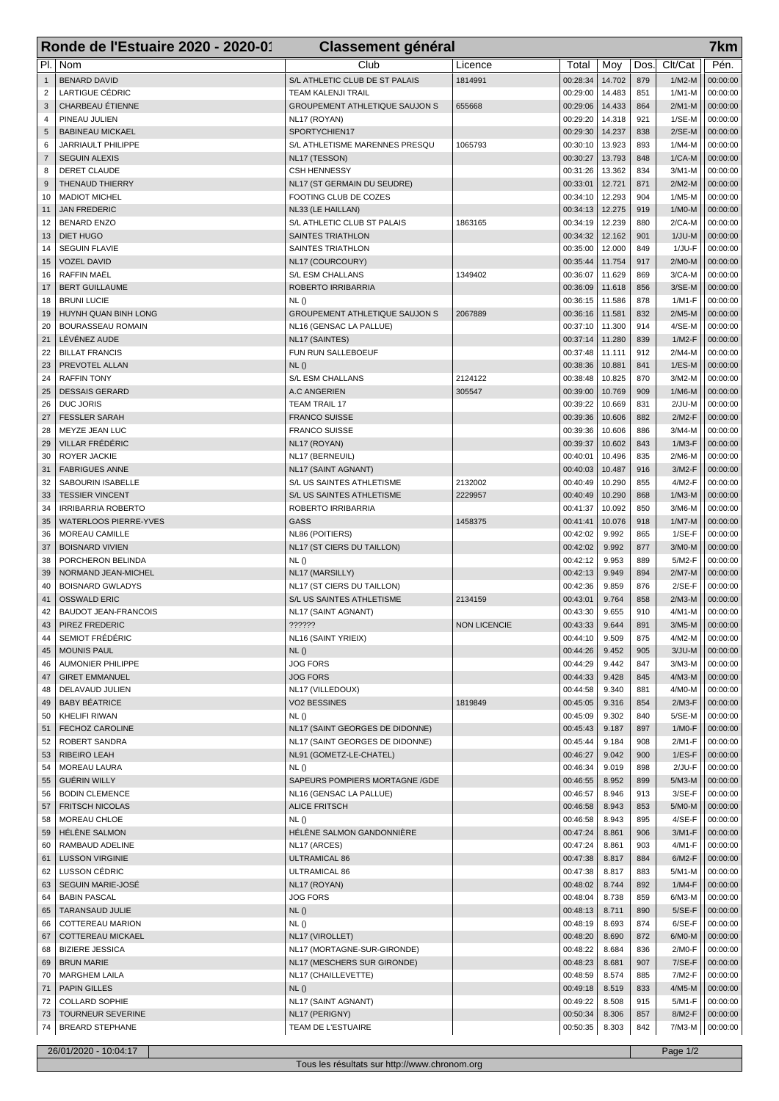|                     | Ronde de l'Estuaire 2020 - 2020-01<br><b>Classement général</b><br>7km |                                                            |                     |                      |                  |            |                      |                      |  |
|---------------------|------------------------------------------------------------------------|------------------------------------------------------------|---------------------|----------------------|------------------|------------|----------------------|----------------------|--|
| PI.                 | Nom                                                                    | Club                                                       | Licence             | Total                | Moy              | Dos.       | Clt/Cat              | Pén.                 |  |
| $\mathbf{1}$        | <b>BENARD DAVID</b>                                                    | S/L ATHLETIC CLUB DE ST PALAIS                             | 1814991             | 00:28:34             | 14.702           | 879        | $1/M2-M$             | 00:00:00             |  |
| $\overline{2}$      | <b>LARTIGUE CÉDRIC</b>                                                 | <b>TEAM KALENJI TRAIL</b>                                  |                     | 00:29:00             | 14.483           | 851        | $1/M1-M$             | 00:00:00             |  |
| 3                   | CHARBEAU ÉTIENNE                                                       | <b>GROUPEMENT ATHLETIQUE SAUJON S</b>                      | 655668              | 00:29:06             | 14.433           | 864        | $2/M1-M$             | 00:00:00             |  |
| 4                   | PINEAU JULIEN                                                          | NL17 (ROYAN)                                               |                     | 00:29:20             | 14.318           | 921        | $1/SE-M$             | 00:00:00             |  |
| 5                   | <b>BABINEAU MICKAEL</b>                                                | SPORTYCHIEN17                                              |                     | 00:29:30             | 14.237           | 838        | $2/SE-M$             | 00:00:00             |  |
| 6                   | JARRIAULT PHILIPPE                                                     | S/L ATHLETISME MARENNES PRESQU                             | 1065793             | 00:30:10             | 13.923           | 893        | $1/M4-M$             | 00:00:00             |  |
| $\overline{7}$<br>8 | <b>SEGUIN ALEXIS</b><br>DERET CLAUDE                                   | NL17 (TESSON)<br><b>CSH HENNESSY</b>                       |                     | 00:30:27<br>00:31:26 | 13.793<br>13.362 | 848<br>834 | $1/CA-M$<br>$3/M1-M$ | 00:00:00<br>00:00:00 |  |
| 9                   | THENAUD THIERRY                                                        | NL17 (ST GERMAIN DU SEUDRE)                                |                     | 00:33:01             | 12.721           | 871        | $2/M2-M$             | 00:00:00             |  |
| 10                  | <b>MADIOT MICHEL</b>                                                   | FOOTING CLUB DE COZES                                      |                     | 00:34:10             | 12.293           | 904        | $1/M5-M$             | 00:00:00             |  |
| 11                  | <b>JAN FREDERIC</b>                                                    | NL33 (LE HAILLAN)                                          |                     | 00:34:13             | 12.275           | 919        | $1/MO-M$             | 00:00:00             |  |
| 12                  | <b>BENARD ENZO</b>                                                     | S/L ATHLETIC CLUB ST PALAIS                                | 1863165             | 00:34:19             | 12.239           | 880        | $2/CA-M$             | 00:00:00             |  |
| 13                  | <b>DIET HUGO</b>                                                       | <b>SAINTES TRIATHLON</b>                                   |                     | 00:34:32             | 12.162           | 901        | $1/JU-M$             | 00:00:00             |  |
| 14                  | <b>SEGUIN FLAVIE</b>                                                   | SAINTES TRIATHLON                                          |                     | 00:35:00             | 12.000           | 849        | 1/JU-F               | 00:00:00             |  |
| 15                  | <b>VOZEL DAVID</b>                                                     | NL17 (COURCOURY)                                           |                     | 00:35:44             | 11.754           | 917        | $2/M0-M$             | 00:00:00             |  |
| 16<br>17            | <b>RAFFIN MAËL</b><br><b>BERT GUILLAUME</b>                            | S/L ESM CHALLANS<br>ROBERTO IRRIBARRIA                     | 1349402             | 00:36:07<br>00:36:09 | 11.629<br>11.618 | 869<br>856 | 3/CA-M<br>$3/SE-M$   | 00:00:00<br>00:00:00 |  |
| 18                  | <b>BRUNI LUCIE</b>                                                     | NL()                                                       |                     | 00:36:15             | 11.586           | 878        | 1/M1-F               | 00:00:00             |  |
| 19                  | HUYNH QUAN BINH LONG                                                   | <b>GROUPEMENT ATHLETIQUE SAUJON S</b>                      | 2067889             | 00:36:16             | 11.581           | 832        | $2/M5-M$             | 00:00:00             |  |
| 20                  | <b>BOURASSEAU ROMAIN</b>                                               | NL16 (GENSAC LA PALLUE)                                    |                     | 00:37:10             | 11.300           | 914        | $4/SE-M$             | 00:00:00             |  |
| 21                  | LÉVÉNEZ AUDE                                                           | NL17 (SAINTES)                                             |                     | 00:37:14             | 11.280           | 839        | $1/M2-F$             | 00:00:00             |  |
| 22                  | <b>BILLAT FRANCIS</b>                                                  | FUN RUN SALLEBOEUF                                         |                     | 00:37:48             | 11.111           | 912        | $2/M4-M$             | 00:00:00             |  |
| 23                  | PREVOTEL ALLAN                                                         | NL()                                                       |                     | 00:38:36             | 10.881           | 841        | $1/ES-M$             | 00:00:00             |  |
| 24                  | <b>RAFFIN TONY</b>                                                     | S/L ESM CHALLANS                                           | 2124122             | 00:38:48             | 10.825           | 870        | $3/M2-M$             | 00:00:00             |  |
| 25                  | <b>DESSAIS GERARD</b>                                                  | A.C ANGERIEN                                               | 305547              | 00:39:00             | 10.769           | 909<br>831 | $1/M6-M$             | 00:00:00             |  |
| 26<br>27            | <b>DUC JORIS</b><br><b>FESSLER SARAH</b>                               | <b>TEAM TRAIL 17</b><br><b>FRANCO SUISSE</b>               |                     | 00:39:22<br>00:39:36 | 10.669<br>10.606 | 882        | $2/JU-M$<br>$2/M2-F$ | 00:00:00<br>00:00:00 |  |
| 28                  | MEYZE JEAN LUC                                                         | <b>FRANCO SUISSE</b>                                       |                     | 00:39:36             | 10.606           | 886        | $3/M4-M$             | 00:00:00             |  |
| 29                  | VILLAR FRÉDÉRIC                                                        | NL17 (ROYAN)                                               |                     | 00:39:37             | 10.602           | 843        | $1/M3-F$             | 00:00:00             |  |
| 30                  | ROYER JACKIE                                                           | NL17 (BERNEUIL)                                            |                     | 00:40:01             | 10.496           | 835        | $2/M6-M$             | 00:00:00             |  |
| 31                  | <b>FABRIGUES ANNE</b>                                                  | NL17 (SAINT AGNANT)                                        |                     | 00:40:03             | 10.487           | 916        | 3/M2-F               | 00:00:00             |  |
| 32                  | SABOURIN ISABELLE                                                      | S/L US SAINTES ATHLETISME                                  | 2132002             | 00:40:49             | 10.290           | 855        | 4/M2-F               | 00:00:00             |  |
| 33                  | <b>TESSIER VINCENT</b>                                                 | S/L US SAINTES ATHLETISME                                  | 2229957             | 00:40:49             | 10.290           | 868        | $1/M3-M$             | 00:00:00             |  |
| 34                  | <b>IRRIBARRIA ROBERTO</b>                                              | ROBERTO IRRIBARRIA                                         |                     | 00:41:37             | 10.092           | 850<br>918 | $3/M6-M$             | 00:00:00             |  |
| 35<br>36            | <b>WATERLOOS PIERRE-YVES</b><br>MOREAU CAMILLE                         | <b>GASS</b><br>NL86 (POITIERS)                             | 1458375             | 00:41:41<br>00:42:02 | 10.076<br>9.992  | 865        | $1/M7-M$<br>$1/SE-F$ | 00:00:00<br>00:00:00 |  |
| 37                  | <b>BOISNARD VIVIEN</b>                                                 | NL17 (ST CIERS DU TAILLON)                                 |                     | 00:42:02             | 9.992            | 877        | $3/M0-M$             | 00:00:00             |  |
| 38                  | PORCHERON BELINDA                                                      | NL()                                                       |                     | 00:42:12             | 9.953            | 889        | 5/M2-F               | 00:00:00             |  |
| 39                  | NORMAND JEAN-MICHEL                                                    | NL17 (MARSILLY)                                            |                     | 00:42:13             | 9.949            | 894        | $2/M7-M$             | 00:00:00             |  |
| 40                  | <b>BOISNARD GWLADYS</b>                                                | NL17 (ST CIERS DU TAILLON)                                 |                     | 00:42:36             | 9.859            | 876        | $2/SE-F$             | 00:00:00             |  |
| 41                  | <b>OSSWALD ERIC</b>                                                    | S/L US SAINTES ATHLETISME                                  | 2134159             | 00:43:01             | 9.764            | 858        | $2/M3-M$             | 00:00:00             |  |
| 42                  | <b>BAUDOT JEAN-FRANCOIS</b>                                            | NL17 (SAINT AGNANT)                                        |                     | 00:43:30             | 9.655            | 910        | 4/M1-M               | 00:00:00             |  |
| 43                  | PIREZ FREDERIC                                                         | ??????                                                     | <b>NON LICENCIE</b> | 00:43:33             | 9.644            | 891        | $3/M5-M$             | 00:00:00             |  |
| 44<br>45            | SEMIOT FRÉDÉRIC<br><b>MOUNIS PAUL</b>                                  | NL16 (SAINT YRIEIX)<br>NL()                                |                     | 00:44:10<br>00:44:26 | 9.509<br>9.452   | 875<br>905 | 4/M2-M<br>$3/JU-M$   | 00:00:00<br>00:00:00 |  |
| 46                  | <b>AUMONIER PHILIPPE</b>                                               | <b>JOG FORS</b>                                            |                     | 00:44:29             | 9.442            | 847        | $3/M3-M$             | 00:00:00             |  |
| 47                  | <b>GIRET EMMANUEL</b>                                                  | <b>JOG FORS</b>                                            |                     | 00:44:33             | 9.428            | 845        | $4/M3-M$             | 00:00:00             |  |
| 48                  | DELAVAUD JULIEN                                                        | NL17 (VILLEDOUX)                                           |                     | 00:44:58             | 9.340            | 881        | $4/MO-M$             | 00:00:00             |  |
| 49                  | <b>BABY BÉATRICE</b>                                                   | VO2 BESSINES                                               | 1819849             | 00:45:05             | 9.316            | 854        | $2/M3-F$             | 00:00:00             |  |
| 50                  | <b>KHELIFI RIWAN</b>                                                   | NL()                                                       |                     | 00:45:09             | 9.302            | 840        | 5/SE-M               | 00:00:00             |  |
| 51                  | FECHOZ CAROLINE                                                        | NL17 (SAINT GEORGES DE DIDONNE)                            |                     | 00:45:43             | 9.187            | 897        | $1/MO-F$             | 00:00:00             |  |
| 52                  | ROBERT SANDRA<br><b>RIBEIRO LEAH</b>                                   | NL17 (SAINT GEORGES DE DIDONNE)<br>NL91 (GOMETZ-LE-CHATEL) |                     | 00:45:44<br>00:46:27 | 9.184<br>9.042   | 908<br>900 | 2/M1-F<br>$1/ES-F$   | 00:00:00<br>00:00:00 |  |
| 53<br>54            | MOREAU LAURA                                                           | NL()                                                       |                     | 00:46:34             | 9.019            | 898        | $2/JU-F$             | 00:00:00             |  |
| 55                  | <b>GUÉRIN WILLY</b>                                                    | SAPEURS POMPIERS MORTAGNE / GDE                            |                     | 00:46:55             | 8.952            | 899        | $5/M3-M$             | 00:00:00             |  |
| 56                  | <b>BODIN CLEMENCE</b>                                                  | NL16 (GENSAC LA PALLUE)                                    |                     | 00:46:57             | 8.946            | 913        | $3/SE-F$             | 00:00:00             |  |
| 57                  | <b>FRITSCH NICOLAS</b>                                                 | <b>ALICE FRITSCH</b>                                       |                     | 00:46:58             | 8.943            | 853        | $5/MO-M$             | 00:00:00             |  |
| 58                  | MOREAU CHLOE                                                           | NL()                                                       |                     | 00:46:58             | 8.943            | 895        | $4/SE-F$             | 00:00:00             |  |
| 59                  | HÉLÈNE SALMON                                                          | HÉLÈNE SALMON GANDONNIÈRE                                  |                     | 00:47:24             | 8.861            | 906        | $3/M1-F$             | 00:00:00             |  |
| 60                  | RAMBAUD ADELINE                                                        | NL17 (ARCES)                                               |                     | 00:47:24             | 8.861            | 903        | 4/M1-F               | 00:00:00             |  |
| 61<br>62            | <b>LUSSON VIRGINIE</b><br>LUSSON CÉDRIC                                | ULTRAMICAL 86<br>ULTRAMICAL 86                             |                     | 00:47:38<br>00:47:38 | 8.817<br>8.817   | 884<br>883 | $6/M2-F$<br>$5/M1-M$ | 00:00:00<br>00:00:00 |  |
| 63                  | SEGUIN MARIE-JOSÉ                                                      | NL17 (ROYAN)                                               |                     | 00:48:02             | 8.744            | 892        | $1/M4-F$             | 00:00:00             |  |
| 64                  | <b>BABIN PASCAL</b>                                                    | <b>JOG FORS</b>                                            |                     | 00:48:04             | 8.738            | 859        | $6/M3-M$             | 00:00:00             |  |
| 65                  | TARANSAUD JULIE                                                        | NL()                                                       |                     | 00:48:13             | 8.711            | 890        | $5/SE-F$             | 00:00:00             |  |
| 66                  | COTTEREAU MARION                                                       | NL()                                                       |                     | 00:48:19             | 8.693            | 874        | $6/SE-F$             | 00:00:00             |  |
| 67                  | COTTEREAU MICKAEL                                                      | NL17 (VIROLLET)                                            |                     | 00:48:20             | 8.690            | 872        | $6/M0-M$             | 00:00:00             |  |
| 68                  | <b>BIZIERE JESSICA</b>                                                 | NL17 (MORTAGNE-SUR-GIRONDE)                                |                     | 00:48:22             | 8.684            | 836        | 2/M0-F               | 00:00:00             |  |
| 69                  | <b>BRUN MARIE</b>                                                      | NL17 (MESCHERS SUR GIRONDE)                                |                     | 00:48:23<br>00:48:59 | 8.681<br>8.574   | 907<br>885 | $7/SE-F$<br>7/M2-F   | 00:00:00             |  |
| 70<br>71            | <b>MARGHEM LAILA</b><br><b>PAPIN GILLES</b>                            | NL17 (CHAILLEVETTE)<br>NL()                                |                     | 00:49:18             | 8.519            | 833        | 4/M5-M               | 00:00:00<br>00:00:00 |  |
| 72                  | <b>COLLARD SOPHIE</b>                                                  | NL17 (SAINT AGNANT)                                        |                     | 00:49:22             | 8.508            | 915        | 5/M1-F               | 00:00:00             |  |
| 73                  | TOURNEUR SEVERINE                                                      | NL17 (PERIGNY)                                             |                     | 00:50:34             | 8.306            | 857        | 8/M2-F               | 00:00:00             |  |
| 74                  | <b>BREARD STEPHANE</b>                                                 | TEAM DE L'ESTUAIRE                                         |                     | 00:50:35             | 8.303            | 842        | 7/M3-M               | 00:00:00             |  |
|                     |                                                                        |                                                            |                     |                      |                  |            |                      |                      |  |
|                     | 26/01/2020 - 10:04:17                                                  |                                                            |                     |                      |                  |            | Page 1/2             |                      |  |